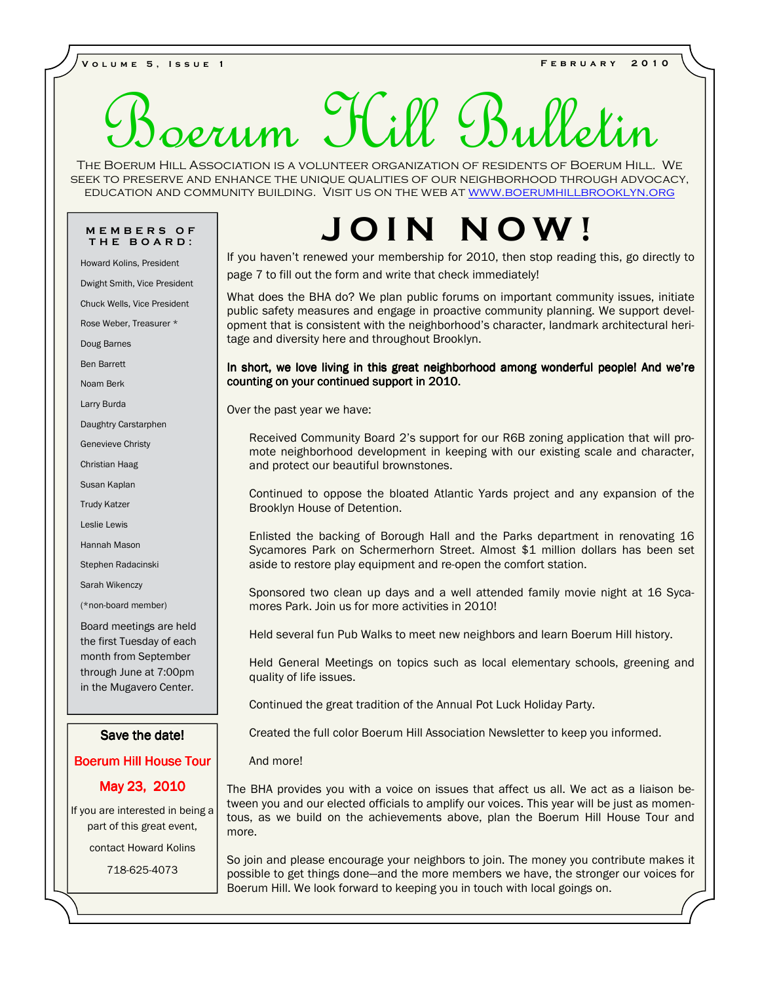**V o l u m e 5 , I s s u e 1 F e b r u a r y 2 0 1 0** 

# Service 1

The Boerum Hill Association is a volunteer organization of residents of Boerum Hill. We seek to preserve and enhance the unique qualities of our neighborhood through advocacy, education and community building. Visit us on the web at www.boerumhillbrooklyn.org

# **T H E B O A R D :**

Howard Kolins, President

Dwight Smith, Vice President

Chuck Wells, Vice President

Rose Weber, Treasurer \*

Doug Barnes

Ben Barrett

Noam Berk

Larry Burda

Daughtry Carstarphen

Genevieve Christy

Christian Haag

Susan Kaplan

Trudy Katzer

Leslie Lewis

Hannah Mason

Stephen Radacinski

Sarah Wikenczy

(\*non-board member)

Board meetings are held the first Tuesday of each month from September through June at 7:00pm in the Mugavero Center.

# Save the date!

# **Boerum Hill House Tour**

# May 23, 2010

If you are interested in being a part of this great event,

contact Howard Kolins

718-625-4073

# **MEMBERS OF | JOIN NOV**

If you haven't renewed your membership for 2010, then stop reading this, go directly to page 7 to fill out the form and write that check immediately!

What does the BHA do? We plan public forums on important community issues, initiate public safety measures and engage in proactive community planning. We support development that is consistent with the neighborhood's character, landmark architectural heritage and diversity here and throughout Brooklyn.

In short, we love living in this great neighborhood among wonderful people! And we're counting on your continued support in 2010.

Over the past year we have:

Received Community Board 2's support for our R6B zoning application that will promote neighborhood development in keeping with our existing scale and character, and protect our beautiful brownstones.

Continued to oppose the bloated Atlantic Yards project and any expansion of the Brooklyn House of Detention.

Enlisted the backing of Borough Hall and the Parks department in renovating 16 Sycamores Park on Schermerhorn Street. Almost \$1 million dollars has been set aside to restore play equipment and re-open the comfort station.

Sponsored two clean up days and a well attended family movie night at 16 Sycamores Park. Join us for more activities in 2010!

Held several fun Pub Walks to meet new neighbors and learn Boerum Hill history.

Held General Meetings on topics such as local elementary schools, greening and quality of life issues.

Continued the great tradition of the Annual Pot Luck Holiday Party.

Created the full color Boerum Hill Association Newsletter to keep you informed.

And more!

The BHA provides you with a voice on issues that affect us all. We act as a liaison between you and our elected officials to amplify our voices. This year will be just as momentous, as we build on the achievements above, plan the Boerum Hill House Tour and more.

So join and please encourage your neighbors to join. The money you contribute makes it possible to get things done—and the more members we have, the stronger our voices for Boerum Hill. We look forward to keeping you in touch with local goings on.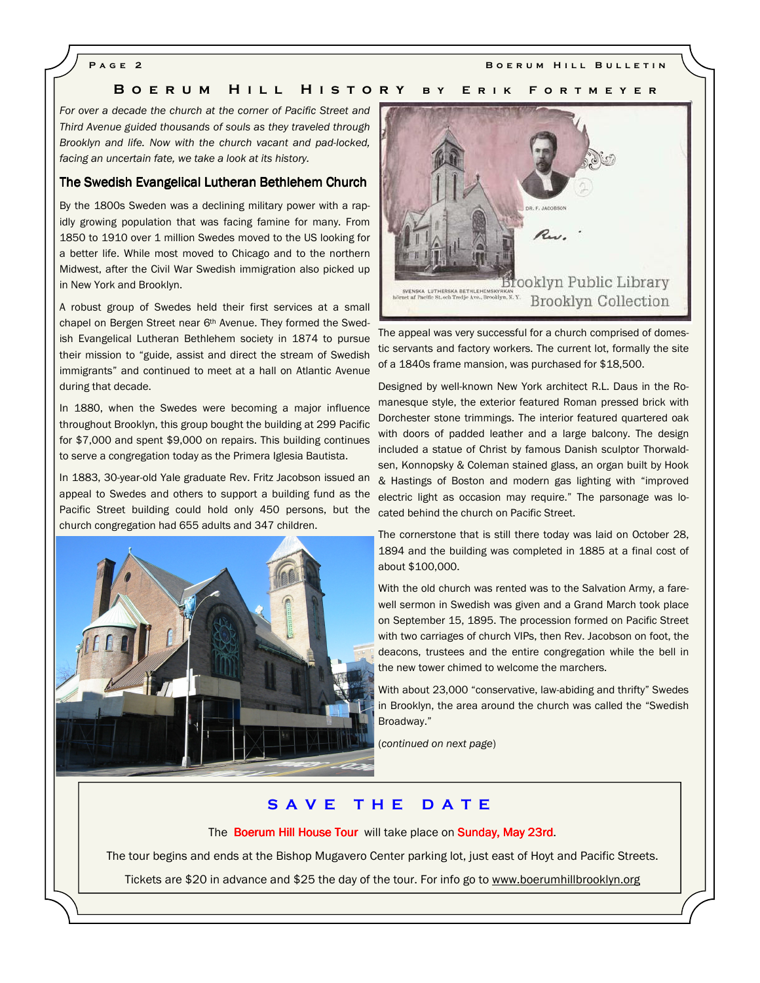**PAGE 2** BOERUM HILL BULLETIN

# **B O E R U M H I L L H I S T O R Y B Y E R I K F O R T M E Y E R**

*For over a decade the church at the corner of Pacific Street and Third Avenue guided thousands of souls as they traveled through Brooklyn and life. Now with the church vacant and pad-locked, facing an uncertain fate, we take a look at its history.* 

# The Swedish Evangelical Lutheran Bethlehem Church

By the 1800s Sweden was a declining military power with a rapidly growing population that was facing famine for many. From 1850 to 1910 over 1 million Swedes moved to the US looking for a better life. While most moved to Chicago and to the northern Midwest, after the Civil War Swedish immigration also picked up in New York and Brooklyn.

A robust group of Swedes held their first services at a small chapel on Bergen Street near 6th Avenue. They formed the Swedish Evangelical Lutheran Bethlehem society in 1874 to pursue their mission to "guide, assist and direct the stream of Swedish immigrants" and continued to meet at a hall on Atlantic Avenue during that decade.

In 1880, when the Swedes were becoming a major influence throughout Brooklyn, this group bought the building at 299 Pacific for \$7,000 and spent \$9,000 on repairs. This building continues to serve a congregation today as the Primera Iglesia Bautista.

In 1883, 30-year-old Yale graduate Rev. Fritz Jacobson issued an appeal to Swedes and others to support a building fund as the Pacific Street building could hold only 450 persons, but the church congregation had 655 adults and 347 children.





The appeal was very successful for a church comprised of domestic servants and factory workers. The current lot, formally the site of a 1840s frame mansion, was purchased for \$18,500.

Designed by well-known New York architect R.L. Daus in the Romanesque style, the exterior featured Roman pressed brick with Dorchester stone trimmings. The interior featured quartered oak with doors of padded leather and a large balcony. The design included a statue of Christ by famous Danish sculptor Thorwaldsen, Konnopsky & Coleman stained glass, an organ built by Hook & Hastings of Boston and modern gas lighting with "improved electric light as occasion may require." The parsonage was located behind the church on Pacific Street.

The cornerstone that is still there today was laid on October 28, 1894 and the building was completed in 1885 at a final cost of about \$100,000.

With the old church was rented was to the Salvation Army, a farewell sermon in Swedish was given and a Grand March took place on September 15, 1895. The procession formed on Pacific Street with two carriages of church VIPs, then Rev. Jacobson on foot, the deacons, trustees and the entire congregation while the bell in the new tower chimed to welcome the marchers.

With about 23,000 "conservative, law-abiding and thrifty" Swedes in Brooklyn, the area around the church was called the "Swedish Broadway."

(*continued on next page*)

# **S A V E T H E D A T E**

The Boerum Hill House Tour will take place on Sunday, May 23rd.

The tour begins and ends at the Bishop Mugavero Center parking lot, just east of Hoyt and Pacific Streets.

Tickets are \$20 in advance and \$25 the day of the tour. For info go to www.boerumhillbrooklyn.org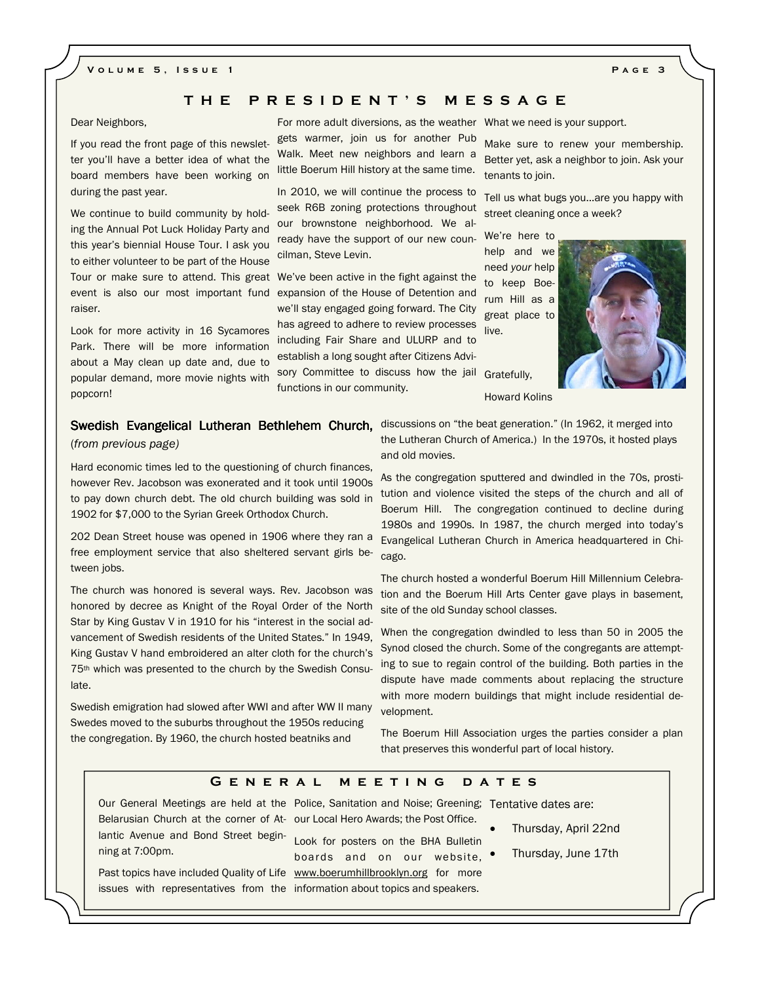# **V o l u m e 5 , I s s u e 1 P a g e 3**

# **T H E P R E S I D E N T ' S M E S S A G E**

Dear Neighbors,

If you read the front page of this newsletter you'll have a better idea of what the board members have been working on during the past year.

We continue to build community by holding the Annual Pot Luck Holiday Party and this year's biennial House Tour. I ask you to either volunteer to be part of the House Tour or make sure to attend. This great We've been active in the fight against the raiser.

Look for more activity in 16 Sycamores Park. There will be more information about a May clean up date and, due to popular demand, more movie nights with popcorn!

For more adult diversions, as the weather What we need is your support. gets warmer, join us for another Pub Walk. Meet new neighbors and learn a little Boerum Hill history at the same time.

In 2010, we will continue the process to seek R6B zoning protections throughout our brownstone neighborhood. We already have the support of our new councilman, Steve Levin.

event is also our most important fund expansion of the House of Detention and we'll stay engaged going forward. The City has agreed to adhere to review processes including Fair Share and ULURP and to establish a long sought after Citizens Advisory Committee to discuss how the jail functions in our community. Gratefully,

Make sure to renew your membership. Better yet, ask a neighbor to join. Ask your tenants to join.

Tell us what bugs you...are you happy with street cleaning once a week?

We're here to help and we need *your* help to keep Boerum Hill as a great place to live.



Howard Kolins

# (*from previous page)*

Hard economic times led to the questioning of church finances, however Rev. Jacobson was exonerated and it took until 1900s to pay down church debt. The old church building was sold in 1902 for \$7,000 to the Syrian Greek Orthodox Church.

202 Dean Street house was opened in 1906 where they ran a free employment service that also sheltered servant girls between jobs.

The church was honored is several ways. Rev. Jacobson was honored by decree as Knight of the Royal Order of the North Star by King Gustav V in 1910 for his "interest in the social advancement of Swedish residents of the United States." In 1949, King Gustav V hand embroidered an alter cloth for the church's 75th which was presented to the church by the Swedish Consulate.

Swedish emigration had slowed after WWI and after WW II many Swedes moved to the suburbs throughout the 1950s reducing the congregation. By 1960, the church hosted beatniks and

Swedish Evangelical Lutheran Bethlehem Church, discussions on "the beat generation." (In 1962, it merged into the Lutheran Church of America.) In the 1970s, it hosted plays and old movies.

> As the congregation sputtered and dwindled in the 70s, prostitution and violence visited the steps of the church and all of Boerum Hill. The congregation continued to decline during 1980s and 1990s. In 1987, the church merged into today's Evangelical Lutheran Church in America headquartered in Chicago.

> The church hosted a wonderful Boerum Hill Millennium Celebration and the Boerum Hill Arts Center gave plays in basement, site of the old Sunday school classes.

> When the congregation dwindled to less than 50 in 2005 the Synod closed the church. Some of the congregants are attempting to sue to regain control of the building. Both parties in the dispute have made comments about replacing the structure with more modern buildings that might include residential development.

> The Boerum Hill Association urges the parties consider a plan that preserves this wonderful part of local history.

# **G e n e r a l m e e t i n g d a t e s**

Our General Meetings are held at the Police, Sanitation and Noise; Greening; Tentative dates are: Belarusian Church at the corner of At-our Local Hero Awards; the Post Office. lantic Avenue and Bond Street beginning at 7:00pm.

Past topics have included Quality of Life www.boerumhillbrooklyn.org for more issues with representatives from the information about topics and speakers. Look for posters on the BHA Bulletin boards and on our website,

- Thursday, April 22nd
- Thursday, June 17th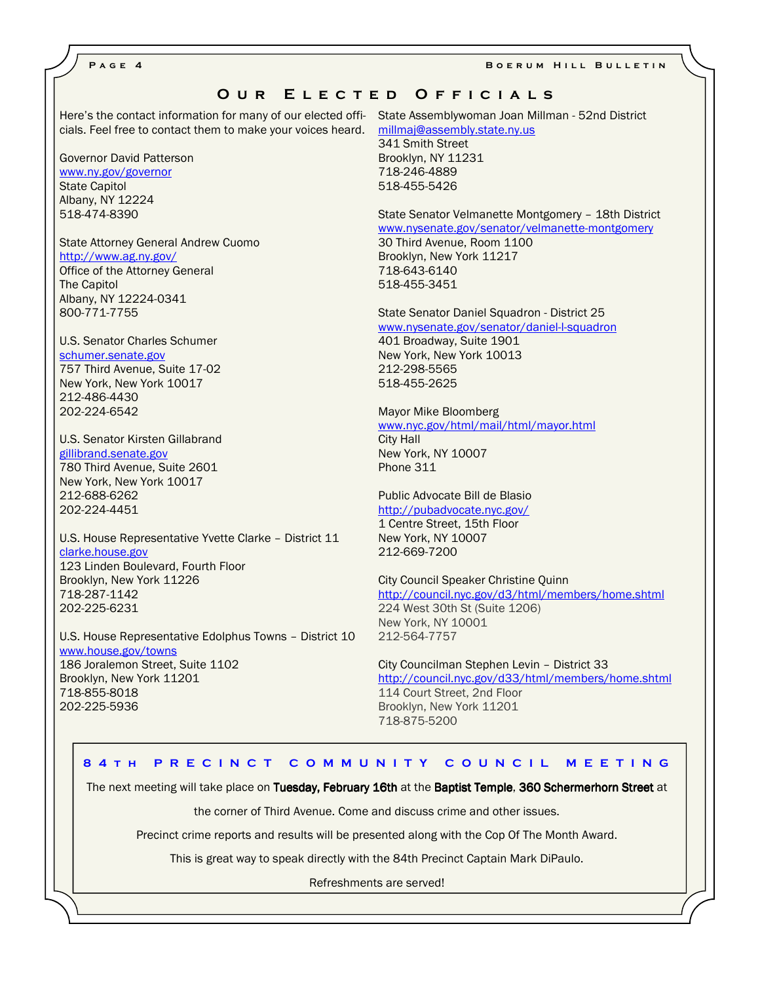**PAGE 4** BOERUM HILL BULLETIN

# OUR ELECTED OFFICIALS

Here's the contact information for many of our elected offi-State Assemblywoman Joan Millman - 52nd District cials. Feel free to contact them to make your voices heard. millmaj@assembly.state.ny.us

Governor David Patterson www.ny.gov/governor State Capitol Albany, NY 12224 518-474-8390

State Attorney General Andrew Cuomo http://www.ag.ny.gov/ Office of the Attorney General The Capitol Albany, NY 12224-0341 800-771-7755

U.S. Senator Charles Schumer schumer.senate.gov 757 Third Avenue, Suite 17-02 New York, New York 10017 212-486-4430 202-224-6542

U.S. Senator Kirsten Gillabrand gillibrand.senate.gov 780 Third Avenue, Suite 2601 New York, New York 10017 212-688-6262 202-224-4451

U.S. House Representative Yvette Clarke – District 11 clarke.house.gov 123 Linden Boulevard, Fourth Floor Brooklyn, New York 11226 718-287-1142 202-225-6231

U.S. House Representative Edolphus Towns – District 10 www.house.gov/towns 186 Joralemon Street, Suite 1102 Brooklyn, New York 11201 718-855-8018 202-225-5936

341 Smith Street Brooklyn, NY 11231 718-246-4889 518-455-5426

State Senator Velmanette Montgomery – 18th District www.nysenate.gov/senator/velmanette-montgomery 30 Third Avenue, Room 1100 Brooklyn, New York 11217 718-643-6140 518-455-3451

State Senator Daniel Squadron - District 25

www.nysenate.gov/senator/daniel-l-squadron

401 Broadway, Suite 1901 New York, New York 10013 212-298-5565 518-455-2625

Mayor Mike Bloomberg www.nyc.gov/html/mail/html/mayor.html City Hall New York, NY 10007 Phone 311

Public Advocate Bill de Blasio http://pubadvocate.nyc.gov/ 1 Centre Street, 15th Floor New York, NY 10007 212-669-7200

City Council Speaker Christine Quinn http://council.nyc.gov/d3/html/members/home.shtml 224 West 30th St (Suite 1206) New York, NY 10001 212-564-7757

City Councilman Stephen Levin – District 33 http://council.nyc.gov/d33/html/members/home.shtml 114 Court Street, 2nd Floor Brooklyn, New York 11201 718-875-5200

# **8 4 T H P R E C I N C T C O M M U N I T Y C O U N C I L M E E T I N G**

The next meeting will take place on Tuesday, February 16th at the Baptist Temple, 360 Schermerhorn Street at

the corner of Third Avenue. Come and discuss crime and other issues.

Precinct crime reports and results will be presented along with the Cop Of The Month Award.

This is great way to speak directly with the 84th Precinct Captain Mark DiPaulo.

Refreshments are served!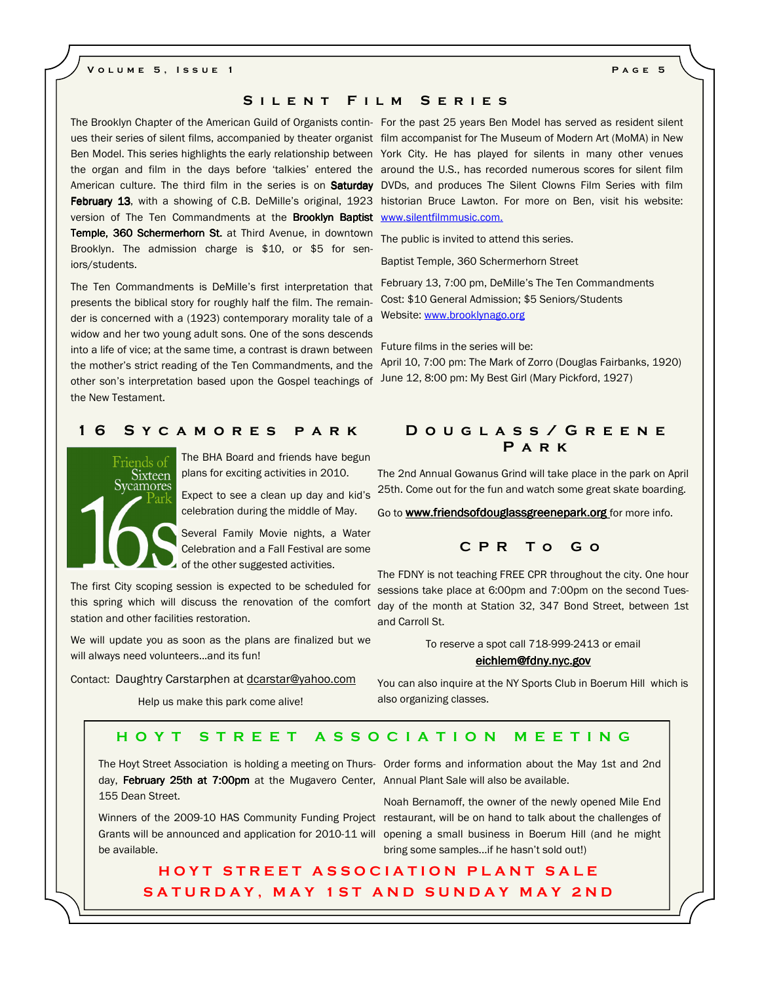# **V o l u m e 5 , I s s u e 1 P a g e 5**

# SILENT FILM SERIES

The Brooklyn Chapter of the American Guild of Organists contin-For the past 25 years Ben Model has served as resident silent version of The Ten Commandments at the Brooklyn Baptist www.silentfilmmusic.com. Temple, 360 Schermerhorn St. at Third Avenue, in downtown Brooklyn. The admission charge is \$10, or \$5 for seniors/students.

The Ten Commandments is DeMille's first interpretation that presents the biblical story for roughly half the film. The remainder is concerned with a (1923) contemporary morality tale of a widow and her two young adult sons. One of the sons descends into a life of vice; at the same time, a contrast is drawn between the mother's strict reading of the Ten Commandments, and the other son's interpretation based upon the Gospel teachings of June 12, 8:00 pm: My Best Girl (Mary Pickford, 1927) the New Testament.

# **1 6 S y c a m o r e s p a r k D o u g l a s s / G r e e n e**



The BHA Board and friends have begun plans for exciting activities in 2010.

Expect to see a clean up day and kid's celebration during the middle of May.

Several Family Movie nights, a Water Celebration and a Fall Festival are some of the other suggested activities.

The first City scoping session is expected to be scheduled for this spring which will discuss the renovation of the comfort station and other facilities restoration.

We will update you as soon as the plans are finalized but we will always need volunteers...and its fun!

Contact: Daughtry Carstarphen at dcarstar@yahoo.com

Help us make this park come alive!

# ues their series of silent films, accompanied by theater organist film accompanist for The Museum of Modern Art (MoMA) in New Ben Model. This series highlights the early relationship between York City. He has played for silents in many other venues the organ and film in the days before 'talkies' entered the around the U.S., has recorded numerous scores for silent film American culture. The third film in the series is on Saturday DVDs, and produces The Silent Clowns Film Series with film February 13, with a showing of C.B. DeMille's original, 1923 historian Bruce Lawton. For more on Ben, visit his website:

The public is invited to attend this series.

Baptist Temple, 360 Schermerhorn Street

February 13, 7:00 pm, DeMille's The Ten Commandments Cost: \$10 General Admission; \$5 Seniors/Students Website: www.brooklynago.org

Future films in the series will be:

April 10, 7:00 pm: The Mark of Zorro (Douglas Fairbanks, 1920)

# **P a r k**

The 2nd Annual Gowanus Grind will take place in the park on April 25th. Come out for the fun and watch some great skate boarding.

Go to **www.friendsofdouglassgreenepark.org** for more info.

# **C P R T o G o**

The FDNY is not teaching FREE CPR throughout the city. One hour sessions take place at 6:00pm and 7:00pm on the second Tuesday of the month at Station 32, 347 Bond Street, between 1st and Carroll St.

To reserve a spot call 718-999-2413 or email

# eichlem@fdny.nyc.gov

You can also inquire at the NY Sports Club in Boerum Hill which is also organizing classes.

# **H O Y T S T R E E T A S S O C I A T I O N M E E T I N G**

day, February 25th at 7:00pm at the Mugavero Center, Annual Plant Sale will also be available. 155 Dean Street.

be available.

The Hoyt Street Association is holding a meeting on Thurs-Order forms and information about the May 1st and 2nd

Winners of the 2009-10 HAS Community Funding Project restaurant, will be on hand to talk about the challenges of Grants will be announced and application for 2010-11 will opening a small business in Boerum Hill (and he might Noah Bernamoff, the owner of the newly opened Mile End bring some samples...if he hasn't sold out!)

# **H O Y T S T R E E T A S S O C I A T I O N P L A N T S A L E**  SATURDAY, MAY 1ST AND SUNDAY MAY 2ND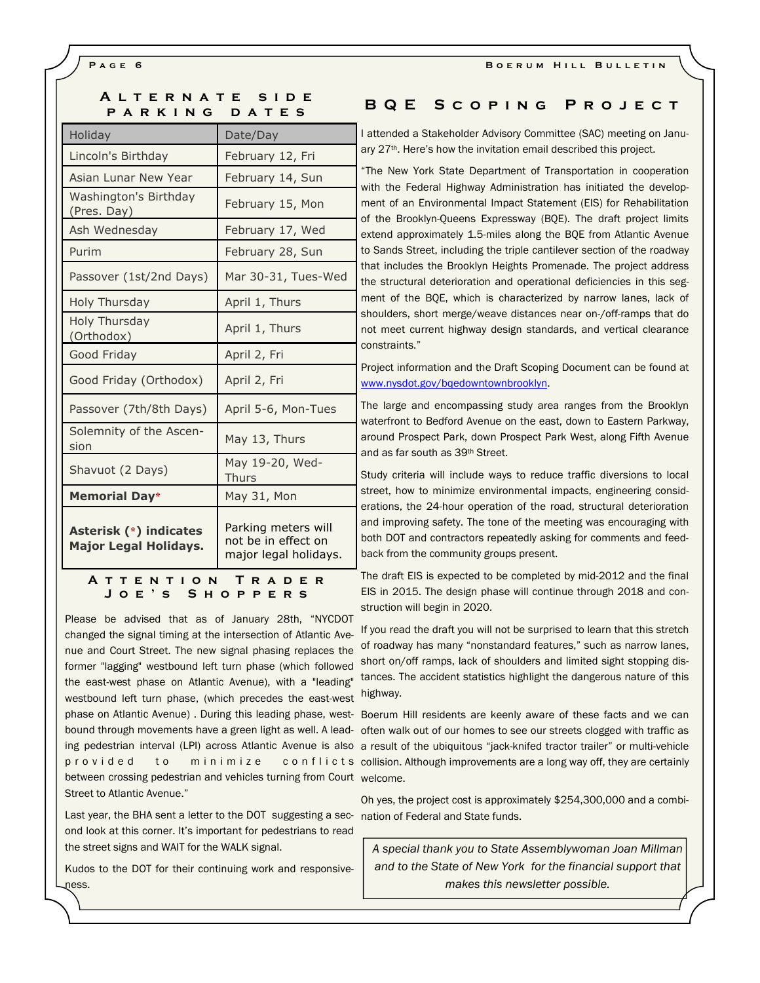# **A l t e r n a t e s i d e PARKING DATES**

| Holiday                                                | Date/Day                                                            |  |  |  |
|--------------------------------------------------------|---------------------------------------------------------------------|--|--|--|
| Lincoln's Birthday                                     | February 12, Fri                                                    |  |  |  |
| Asian Lunar New Year                                   | February 14, Sun                                                    |  |  |  |
| Washington's Birthday<br>(Pres. Day)                   | February 15, Mon                                                    |  |  |  |
| Ash Wednesday                                          | February 17, Wed                                                    |  |  |  |
| Purim                                                  | February 28, Sun                                                    |  |  |  |
| Passover (1st/2nd Days)                                | Mar 30-31, Tues-Wed                                                 |  |  |  |
| Holy Thursday                                          | April 1, Thurs                                                      |  |  |  |
| <b>Holy Thursday</b><br>(Orthodox)                     | April 1, Thurs                                                      |  |  |  |
| Good Friday                                            | April 2, Fri                                                        |  |  |  |
| Good Friday (Orthodox)                                 | April 2, Fri                                                        |  |  |  |
| Passover (7th/8th Days)                                | April 5-6, Mon-Tues                                                 |  |  |  |
| Solemnity of the Ascen-<br>sion                        | May 13, Thurs                                                       |  |  |  |
| Shavuot (2 Days)                                       | May 19-20, Wed-<br><b>Thurs</b>                                     |  |  |  |
| <b>Memorial Day*</b>                                   | May 31, Mon                                                         |  |  |  |
| Asterisk (*) indicates<br><b>Major Legal Holidays.</b> | Parking meters will<br>not be in effect on<br>major legal holidays. |  |  |  |
| <b>A T T E N T I O N</b><br>TRADE<br>R                 |                                                                     |  |  |  |

**J o e ' s S h o p p e r s** 

phase on Atlantic Avenue). During this leading phase, west- Boerum Hill residents are keenly aware of these facts and we can between crossing pedestrian and vehicles turning from Court welcome. Please be advised that as of January 28th, "NYCDOT changed the signal timing at the intersection of Atlantic Avenue and Court Street. The new signal phasing replaces the former "lagging" westbound left turn phase (which followed the east-west phase on Atlantic Avenue), with a "leading" westbound left turn phase, (which precedes the east-west Street to Atlantic Avenue."

Last year, the BHA sent a letter to the DOT suggesting a sec- nation of Federal and State funds. ond look at this corner. It's important for pedestrians to read the street signs and WAIT for the WALK signal.

Kudos to the DOT for their continuing work and responsiveness.

# **B Q E S c o p i n g P r o j e c t**

I attended a Stakeholder Advisory Committee (SAC) meeting on January 27th. Here's how the invitation email described this project.

"The New York State Department of Transportation in cooperation with the Federal Highway Administration has initiated the development of an Environmental Impact Statement (EIS) for Rehabilitation of the Brooklyn-Queens Expressway (BQE). The draft project limits extend approximately 1.5-miles along the BQE from Atlantic Avenue to Sands Street, including the triple cantilever section of the roadway that includes the Brooklyn Heights Promenade. The project address the structural deterioration and operational deficiencies in this segment of the BQE, which is characterized by narrow lanes, lack of shoulders, short merge/weave distances near on-/off-ramps that do not meet current highway design standards, and vertical clearance constraints."

Project information and the Draft Scoping Document can be found at www.nysdot.gov/bqedowntownbrooklyn.

The large and encompassing study area ranges from the Brooklyn waterfront to Bedford Avenue on the east, down to Eastern Parkway, around Prospect Park, down Prospect Park West, along Fifth Avenue and as far south as 39th Street.

Study criteria will include ways to reduce traffic diversions to local street, how to minimize environmental impacts, engineering considerations, the 24-hour operation of the road, structural deterioration and improving safety. The tone of the meeting was encouraging with both DOT and contractors repeatedly asking for comments and feedback from the community groups present.

The draft EIS is expected to be completed by mid-2012 and the final EIS in 2015. The design phase will continue through 2018 and construction will begin in 2020.

If you read the draft you will not be surprised to learn that this stretch of roadway has many "nonstandard features," such as narrow lanes, short on/off ramps, lack of shoulders and limited sight stopping distances. The accident statistics highlight the dangerous nature of this highway.

bound through movements have a green light as well. A lead- often walk out of our homes to see our streets clogged with traffic as ing pedestrian interval (LPI) across Atlantic Avenue is also a result of the ubiquitous "jack-knifed tractor trailer" or multi-vehicle p r o v i d e d t o m i n i m i z e c o n f l i c t s collision. Although improvements are a long way off, they are certainly

Oh yes, the project cost is approximately \$254,300,000 and a combi-

*A special thank you to State Assemblywoman Joan Millman and to the State of New York for the financial support that makes this newsletter possible.*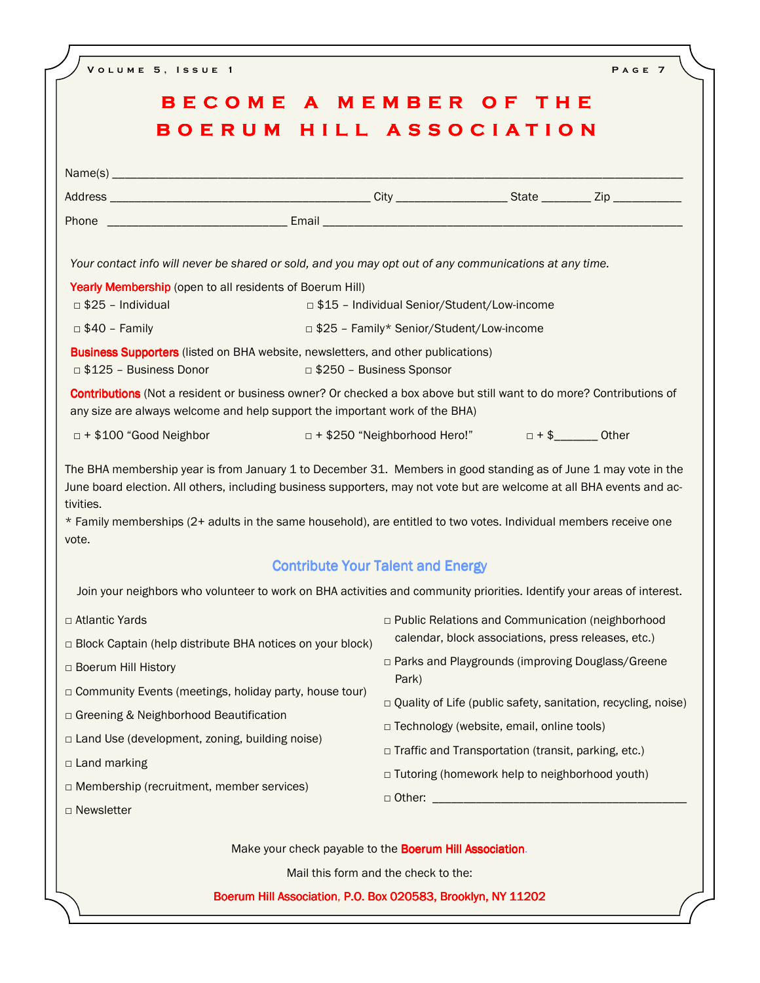| BECOME A MEMBER OF THE<br>BOERUM HILL ASSOCIATION                                                                                                                                                  |                                                                                             |                                                                                                                                                                                                                                                                                                 |  |  |  |
|----------------------------------------------------------------------------------------------------------------------------------------------------------------------------------------------------|---------------------------------------------------------------------------------------------|-------------------------------------------------------------------------------------------------------------------------------------------------------------------------------------------------------------------------------------------------------------------------------------------------|--|--|--|
|                                                                                                                                                                                                    |                                                                                             |                                                                                                                                                                                                                                                                                                 |  |  |  |
|                                                                                                                                                                                                    |                                                                                             |                                                                                                                                                                                                                                                                                                 |  |  |  |
|                                                                                                                                                                                                    |                                                                                             |                                                                                                                                                                                                                                                                                                 |  |  |  |
|                                                                                                                                                                                                    |                                                                                             |                                                                                                                                                                                                                                                                                                 |  |  |  |
| Your contact info will never be shared or sold, and you may opt out of any communications at any time.                                                                                             |                                                                                             |                                                                                                                                                                                                                                                                                                 |  |  |  |
| Yearly Membership (open to all residents of Boerum Hill)<br>$\Box$ \$25 - Individual                                                                                                               |                                                                                             |                                                                                                                                                                                                                                                                                                 |  |  |  |
| $\Box$ \$40 - Family                                                                                                                                                                               | □ \$15 - Individual Senior/Student/Low-income<br>□ \$25 - Family* Senior/Student/Low-income |                                                                                                                                                                                                                                                                                                 |  |  |  |
| Business Supporters (listed on BHA website, newsletters, and other publications)                                                                                                                   |                                                                                             |                                                                                                                                                                                                                                                                                                 |  |  |  |
| □ \$125 - Business Donor                                                                                                                                                                           |                                                                                             | □ \$250 - Business Sponsor                                                                                                                                                                                                                                                                      |  |  |  |
| Contributions (Not a resident or business owner? Or checked a box above but still want to do more? Contributions of<br>any size are always welcome and help support the important work of the BHA) |                                                                                             |                                                                                                                                                                                                                                                                                                 |  |  |  |
| □ + \$100 "Good Neighbor                                                                                                                                                                           |                                                                                             | □ + \$250 "Neighborhood Hero!" □ + \$ _______ Other                                                                                                                                                                                                                                             |  |  |  |
| tivities.<br>* Family memberships (2+ adults in the same household), are entitled to two votes. Individual members receive one<br>vote.                                                            |                                                                                             |                                                                                                                                                                                                                                                                                                 |  |  |  |
|                                                                                                                                                                                                    |                                                                                             | <b>Contribute Your Talent and Energy</b>                                                                                                                                                                                                                                                        |  |  |  |
| Join your neighbors who volunteer to work on BHA activities and community priorities. Identify your areas of interest.                                                                             |                                                                                             |                                                                                                                                                                                                                                                                                                 |  |  |  |
| □ Atlantic Yards                                                                                                                                                                                   |                                                                                             | p Public Relations and Communication (neighborhood                                                                                                                                                                                                                                              |  |  |  |
| □ Block Captain (help distribute BHA notices on your block)                                                                                                                                        |                                                                                             | calendar, block associations, press releases, etc.)                                                                                                                                                                                                                                             |  |  |  |
| □ Boerum Hill History                                                                                                                                                                              |                                                                                             | □ Parks and Playgrounds (improving Douglass/Greene<br>Park)<br>$\Box$ Quality of Life (public safety, sanitation, recycling, noise)<br>□ Technology (website, email, online tools)<br>□ Traffic and Transportation (transit, parking, etc.)<br>□ Tutoring (homework help to neighborhood youth) |  |  |  |
| $\Box$ Community Events (meetings, holiday party, house tour)                                                                                                                                      |                                                                                             |                                                                                                                                                                                                                                                                                                 |  |  |  |
| □ Greening & Neighborhood Beautification                                                                                                                                                           |                                                                                             |                                                                                                                                                                                                                                                                                                 |  |  |  |
| □ Land Use (development, zoning, building noise)                                                                                                                                                   |                                                                                             |                                                                                                                                                                                                                                                                                                 |  |  |  |
| □ Land marking                                                                                                                                                                                     |                                                                                             |                                                                                                                                                                                                                                                                                                 |  |  |  |
| $\Box$ Membership (recruitment, member services)                                                                                                                                                   |                                                                                             |                                                                                                                                                                                                                                                                                                 |  |  |  |
| □ Newsletter                                                                                                                                                                                       |                                                                                             |                                                                                                                                                                                                                                                                                                 |  |  |  |
|                                                                                                                                                                                                    |                                                                                             | Make your check payable to the Boerum Hill Association.                                                                                                                                                                                                                                         |  |  |  |
|                                                                                                                                                                                                    |                                                                                             | Mail this form and the check to the:                                                                                                                                                                                                                                                            |  |  |  |
|                                                                                                                                                                                                    |                                                                                             | Boerum Hill Association, P.O. Box 020583, Brooklyn, NY 11202                                                                                                                                                                                                                                    |  |  |  |